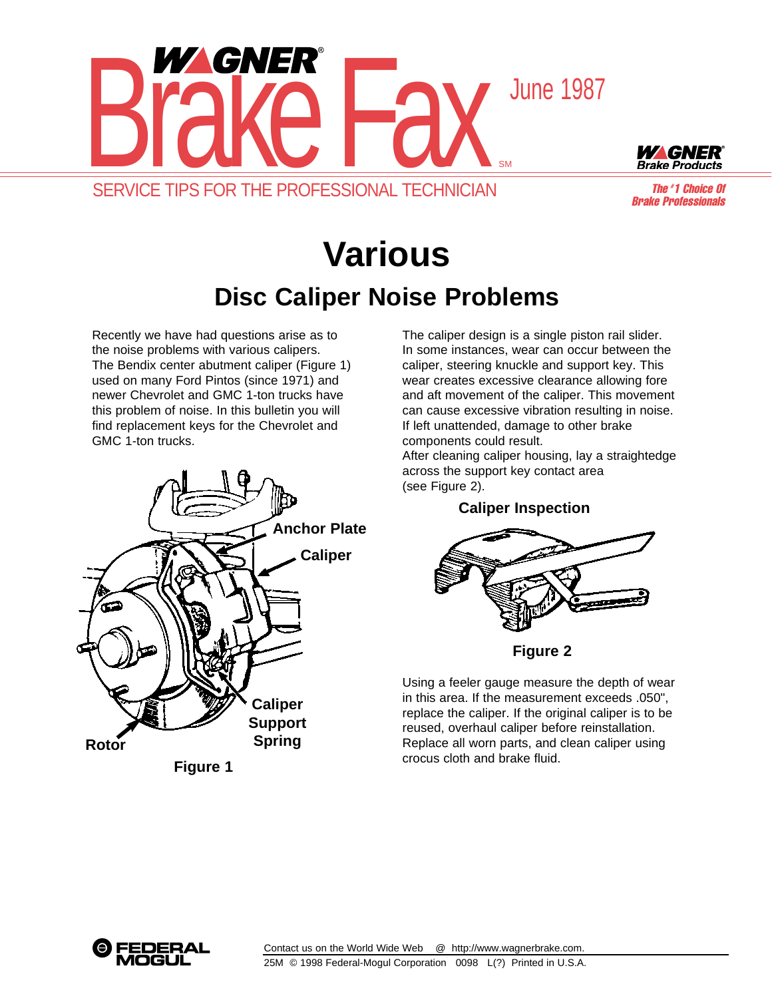



The # 1 Choice Of Brake Professionals

## **Various Disc Caliper Noise Problems**

Recently we have had questions arise as to the noise problems with various calipers. The Bendix center abutment caliper (Figure 1) used on many Ford Pintos (since 1971) and newer Chevrolet and GMC 1-ton trucks have this problem of noise. In this bulletin you will find replacement keys for the Chevrolet and GMC 1-ton trucks.



The caliper design is a single piston rail slider. In some instances, wear can occur between the caliper, steering knuckle and support key. This wear creates excessive clearance allowing fore and aft movement of the caliper. This movement can cause excessive vibration resulting in noise. If left unattended, damage to other brake components could result.

After cleaning caliper housing, lay a straightedge across the support key contact area (see Figure 2).

## **Caliper Inspection**



**Figure 2**

Using a feeler gauge measure the depth of wear in this area. If the measurement exceeds .050", replace the caliper. If the original caliper is to be reused, overhaul caliper before reinstallation. Replace all worn parts, and clean caliper using crocus cloth and brake fluid.